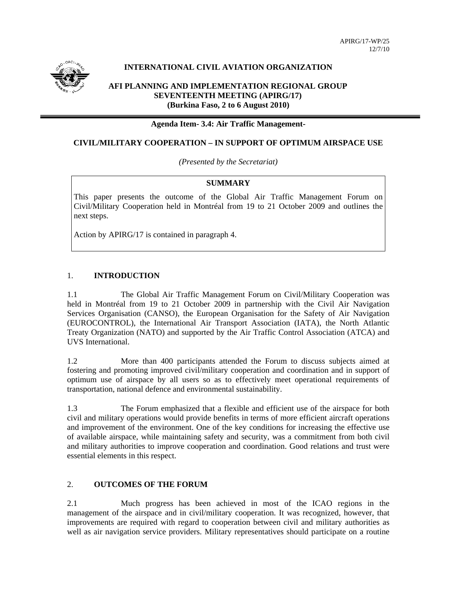

# **INTERNATIONAL CIVIL AVIATION ORGANIZATION**

## **AFI PLANNING AND IMPLEMENTATION REGIONAL GROUP SEVENTEENTH MEETING (APIRG/17) (Burkina Faso, 2 to 6 August 2010)**

#### **Agenda Item- 3.4: Air Traffic Management-**

## **CIVIL/MILITARY COOPERATION – IN SUPPORT OF OPTIMUM AIRSPACE USE**

*(Presented by the Secretariat)* 

### **SUMMARY**

This paper presents the outcome of the Global Air Traffic Management Forum on Civil/Military Cooperation held in Montréal from 19 to 21 October 2009 and outlines the next steps.

Action by APIRG/17 is contained in paragraph 4.

### 1. **INTRODUCTION**

1.1 The Global Air Traffic Management Forum on Civil/Military Cooperation was held in Montréal from 19 to 21 October 2009 in partnership with the Civil Air Navigation Services Organisation (CANSO), the European Organisation for the Safety of Air Navigation (EUROCONTROL), the International Air Transport Association (IATA), the North Atlantic Treaty Organization (NATO) and supported by the Air Traffic Control Association (ATCA) and UVS International.

1.2 More than 400 participants attended the Forum to discuss subjects aimed at fostering and promoting improved civil/military cooperation and coordination and in support of optimum use of airspace by all users so as to effectively meet operational requirements of transportation, national defence and environmental sustainability.

1.3 The Forum emphasized that a flexible and efficient use of the airspace for both civil and military operations would provide benefits in terms of more efficient aircraft operations and improvement of the environment. One of the key conditions for increasing the effective use of available airspace, while maintaining safety and security, was a commitment from both civil and military authorities to improve cooperation and coordination. Good relations and trust were essential elements in this respect.

# 2. **OUTCOMES OF THE FORUM**

2.1 Much progress has been achieved in most of the ICAO regions in the management of the airspace and in civil/military cooperation. It was recognized, however, that improvements are required with regard to cooperation between civil and military authorities as well as air navigation service providers. Military representatives should participate on a routine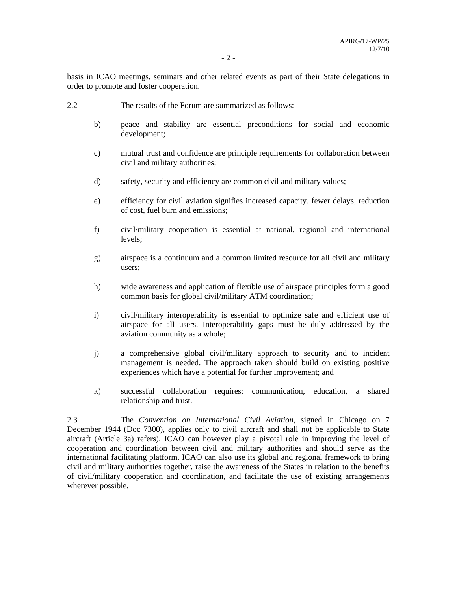basis in ICAO meetings, seminars and other related events as part of their State delegations in order to promote and foster cooperation.

- 2.2 The results of the Forum are summarized as follows:
	- b) peace and stability are essential preconditions for social and economic development;
	- c) mutual trust and confidence are principle requirements for collaboration between civil and military authorities;
	- d) safety, security and efficiency are common civil and military values;
	- e) efficiency for civil aviation signifies increased capacity, fewer delays, reduction of cost, fuel burn and emissions;
	- f) civil/military cooperation is essential at national, regional and international levels;
	- g) airspace is a continuum and a common limited resource for all civil and military users;
	- h) wide awareness and application of flexible use of airspace principles form a good common basis for global civil/military ATM coordination;
	- i) civil/military interoperability is essential to optimize safe and efficient use of airspace for all users. Interoperability gaps must be duly addressed by the aviation community as a whole;
	- j) a comprehensive global civil/military approach to security and to incident management is needed. The approach taken should build on existing positive experiences which have a potential for further improvement; and
	- k) successful collaboration requires: communication, education, a shared relationship and trust.

2.3 The *Convention on International Civil Aviation*, signed in Chicago on 7 December 1944 (Doc 7300), applies only to civil aircraft and shall not be applicable to State aircraft (Article 3a) refers). ICAO can however play a pivotal role in improving the level of cooperation and coordination between civil and military authorities and should serve as the international facilitating platform. ICAO can also use its global and regional framework to bring civil and military authorities together, raise the awareness of the States in relation to the benefits of civil/military cooperation and coordination, and facilitate the use of existing arrangements wherever possible.